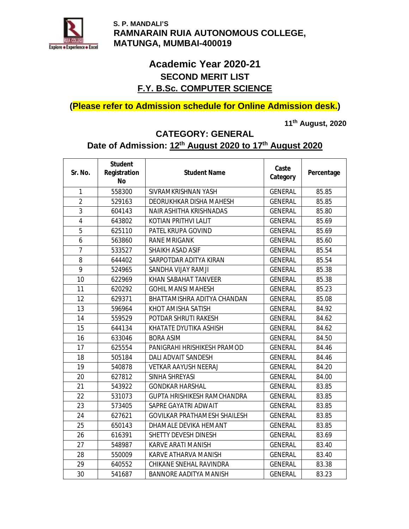

# **Academic Year 2020-21 SECOND MERIT LIST F.Y. B.Sc. COMPUTER SCIENCE**

## **(Please refer to Admission schedule for Online Admission desk.)**

**11th August, 2020** 

## **CATEGORY: GENERAL**

## **Date of Admission: 12th August 2020 to 17th August 2020**

| Sr. No.        | <b>Student</b><br>Registration<br>No | <b>Student Name</b>                 | Caste<br>Category | Percentage |
|----------------|--------------------------------------|-------------------------------------|-------------------|------------|
| 1              | 558300                               | SIVRAMKRISHNAN YASH                 | <b>GENERAL</b>    | 85.85      |
| $\overline{2}$ | 529163                               | <b>DEORUKHKAR DISHA MAHESH</b>      | <b>GENERAL</b>    | 85.85      |
| 3              | 604143                               | <b>NAIR ASHITHA KRISHNADAS</b>      | <b>GENERAL</b>    | 85.80      |
| 4              | 643802                               | KOTIAN PRITHVI LALIT                | <b>GENERAL</b>    | 85.69      |
| 5              | 625110                               | PATEL KRUPA GOVIND                  | <b>GENERAL</b>    | 85.69      |
| 6              | 563860                               | <b>RANE MRIGANK</b>                 | <b>GENERAL</b>    | 85.60      |
| $\overline{7}$ | 533527                               | <b>SHAIKH ASAD ASIF</b>             | <b>GENERAL</b>    | 85.54      |
| 8              | 644402                               | SARPOTDAR ADITYA KIRAN              | <b>GENERAL</b>    | 85.54      |
| 9              | 524965                               | SANDHA VIJAY RAMJI                  | <b>GENERAL</b>    | 85.38      |
| 10             | 622969                               | <b>KHAN SABAHAT TANVEER</b>         | <b>GENERAL</b>    | 85.38      |
| 11             | 620292                               | <b>GOHIL MANSI MAHESH</b>           | <b>GENERAL</b>    | 85.23      |
| 12             | 629371                               | BHATTAMISHRA ADITYA CHANDAN         | <b>GENERAL</b>    | 85.08      |
| 13             | 596964                               | KHOT AMISHA SATISH                  | <b>GENERAL</b>    | 84.92      |
| 14             | 559529                               | POTDAR SHRUTI RAKESH                | <b>GENERAL</b>    | 84.62      |
| 15             | 644134                               | KHATATE DYUTIKA ASHISH              | <b>GENERAL</b>    | 84.62      |
| 16             | 633046                               | <b>BORA ASIM</b>                    | <b>GENERAL</b>    | 84.50      |
| 17             | 625554                               | PANIGRAHI HRISHIKESH PRAMOD         | <b>GENERAL</b>    | 84.46      |
| 18             | 505184                               | <b>DALI ADVAIT SANDESH</b>          | <b>GENERAL</b>    | 84.46      |
| 19             | 540878                               | <b>VETKAR AAYUSH NEERAJ</b>         | <b>GENERAL</b>    | 84.20      |
| 20             | 627812                               | SINHA SHREYASI                      | <b>GENERAL</b>    | 84.00      |
| 21             | 543922                               | <b>GONDKAR HARSHAL</b>              | <b>GENERAL</b>    | 83.85      |
| 22             | 531073                               | <b>GUPTA HRISHIKESH RAMCHANDRA</b>  | <b>GENERAL</b>    | 83.85      |
| 23             | 573405                               | SAPRE GAYATRI ADWAIT                | <b>GENERAL</b>    | 83.85      |
| 24             | 627621                               | <b>GOVILKAR PRATHAMESH SHAILESH</b> | <b>GENERAL</b>    | 83.85      |
| 25             | 650143                               | <b>DHAMALE DEVIKA HEMANT</b>        | <b>GENERAL</b>    | 83.85      |
| 26             | 616391                               | <b>SHETTY DEVESH DINESH</b>         | <b>GENERAL</b>    | 83.69      |
| 27             | 548987                               | <b>KARVE ARATI MANISH</b>           | <b>GENERAL</b>    | 83.40      |
| 28             | 550009                               | <b>KARVE ATHARVA MANISH</b>         | <b>GENERAL</b>    | 83.40      |
| 29             | 640552                               | <b>CHIKANE SNEHAL RAVINDRA</b>      | <b>GENERAL</b>    | 83.38      |
| 30             | 541687                               | <b>BANNORE AADITYA MANISH</b>       | <b>GENERAL</b>    | 83.23      |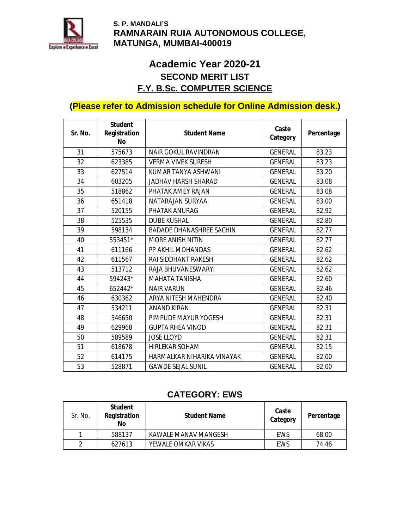

# **Academic Year 2020-21 SECOND MERIT LIST F.Y. B.Sc. COMPUTER SCIENCE**

## **(Please refer to Admission schedule for Online Admission desk.)**

| Sr. No. | <b>Student</b><br>Registration<br>No | <b>Student Name</b>             | Caste<br>Category | Percentage |
|---------|--------------------------------------|---------------------------------|-------------------|------------|
| 31      | 575673                               | <b>NAIR GOKUL RAVINDRAN</b>     | <b>GENERAL</b>    | 83.23      |
| 32      | 623385                               | <b>VERMA VIVEK SURESH</b>       | <b>GENERAL</b>    | 83.23      |
| 33      | 627514                               | KUMAR TANYA ASHWANI             | <b>GENERAL</b>    | 83.20      |
| 34      | 603205                               | JADHAV HARSH SHARAD             | <b>GENERAL</b>    | 83.08      |
| 35      | 518862                               | PHATAK AMEY RAJAN               | <b>GENERAL</b>    | 83.08      |
| 36      | 651418                               | NATARAJAN SURYAA                | <b>GENERAL</b>    | 83.00      |
| 37      | 520155                               | <b>PHATAK ANURAG</b>            | <b>GENERAL</b>    | 82.92      |
| 38      | 525535                               | <b>DUBE KUSHAL</b>              | <b>GENERAL</b>    | 82.80      |
| 39      | 598134                               | <b>BADADE DHANASHREE SACHIN</b> | <b>GENERAL</b>    | 82.77      |
| 40      | 553451*                              | <b>MORE ANISH NITIN</b>         | <b>GENERAL</b>    | 82.77      |
| 41      | 611166                               | PP AKHIL MOHANDAS               | <b>GENERAL</b>    | 82.62      |
| 42      | 611567                               | <b>RAI SIDDHANT RAKESH</b>      | <b>GENERAL</b>    | 82.62      |
| 43      | 513712                               | RAJA BHUVANESWARYI              | <b>GENERAL</b>    | 82.62      |
| 44      | 594243*                              | <b>MAHATA TANISHA</b>           | <b>GENERAL</b>    | 82.60      |
| 45      | 652442*                              | <b>NAIR VARUN</b>               | <b>GENERAL</b>    | 82.46      |
| 46      | 630362                               | ARYA NITESH MAHENDRA            | <b>GENERAL</b>    | 82.40      |
| 47      | 534211                               | <b>ANAND KIRAN</b>              | <b>GENERAL</b>    | 82.31      |
| 48      | 546650                               | PIMPUDE MAYUR YOGESH            | <b>GENERAL</b>    | 82.31      |
| 49      | 629968                               | <b>GUPTA RHEA VINOD</b>         | <b>GENERAL</b>    | 82.31      |
| 50      | 589589                               | <b>JOSE LLOYD</b>               | <b>GENERAL</b>    | 82.31      |
| 51      | 618678                               | <b>HIRLEKAR SOHAM</b>           | <b>GENERAL</b>    | 82.15      |
| 52      | 614175                               | HARMALKAR NIHARIKA VINAYAK      | <b>GENERAL</b>    | 82.00      |
| 53      | 528871                               | <b>GAWDE SEJAL SUNIL</b>        | <b>GENERAL</b>    | 82.00      |

### **CATEGORY: EWS**

| Sr. No. | Student<br>Registration<br>No | <b>Student Name</b>  | Caste<br>Category | Percentage |
|---------|-------------------------------|----------------------|-------------------|------------|
|         | 588137                        | KAWALE MANAV MANGESH | EWS               | 68.00      |
|         | 627613                        | YEWALE OMKAR VIKAS   | <b>EWS</b>        | 74.46      |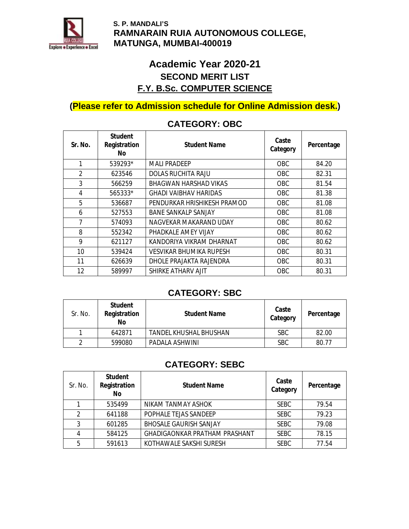

# **Academic Year 2020-21 SECOND MERIT LIST F.Y. B.Sc. COMPUTER SCIENCE**

## **(Please refer to Admission schedule for Online Admission desk.)**

| Sr. No.        | Student<br>Registration<br>No. | Student Name                 | Caste<br>Category | Percentage |
|----------------|--------------------------------|------------------------------|-------------------|------------|
| 1              | 539293*                        | <b>MAILPRADFFP</b>           | <b>OBC</b>        | 84.20      |
| $\mathfrak{p}$ | 623546                         | <b>DOLAS RUCHITA RAJU</b>    | <b>OBC</b>        | 82.31      |
| 3              | 566259                         | <b>BHAGWAN HARSHAD VIKAS</b> | OBC.              | 81.54      |
| 4              | 565333*                        | <b>GHADI VAIBHAV HARIDAS</b> | OBC.              | 81.38      |
| 5              | 536687                         | PENDURKAR HRISHIKESH PRAMOD  | OBC.              | 81.08      |
| 6              | 527553                         | <b>BANE SANKALP SANJAY</b>   | <b>OBC</b>        | 81.08      |
| 7              | 574093                         | NAGVEKAR MAKARAND UDAY       | <b>OBC</b>        | 80.62      |
| 8              | 552342                         | PHADKALE AMEY VIJAY          | OBC.              | 80.62      |
| 9              | 621127                         | KANDORIYA VIKRAM DHARNAT     | <b>OBC</b>        | 80.62      |
| 10             | 539424                         | VESVIKAR BHUMIKA RUPESH      | <b>OBC</b>        | 80.31      |
| 11             | 626639                         | DHOLE PRAJAKTA RAJENDRA      | <b>OBC</b>        | 80.31      |
| 12             | 589997                         | SHIRKE ATHARV AJIT           | <b>OBC</b>        | 80.31      |

### **CATEGORY: OBC**

#### **CATEGORY: SBC**

| Sr. No. | Student<br>Registration<br>No | <b>Student Name</b>    | Caste<br>Category | Percentage |
|---------|-------------------------------|------------------------|-------------------|------------|
|         | 642871                        | TANDEL KHUSHAL BHUSHAN | <b>SBC</b>        | 82.00      |
|         | 599080                        | PADALA ASHWINI         | <b>SBC</b>        | 80.77      |

### **CATEGORY: SEBC**

| Sr. No.        | Student<br>Registration<br>No | <b>Student Name</b>                  | Caste<br>Category | Percentage |
|----------------|-------------------------------|--------------------------------------|-------------------|------------|
|                | 535499                        | NIKAM TANMAY ASHOK                   | <b>SEBC</b>       | 79.54      |
| $\mathfrak{p}$ | 641188                        | POPHALE TEJAS SANDEEP                | <b>SEBC</b>       | 79.23      |
| 3              | 601285                        | <b>BHOSALE GAURISH SANJAY</b>        | <b>SEBC</b>       | 79.08      |
|                | 584125                        | <b>GHADIGAONKAR PRATHAM PRASHANT</b> | <b>SEBC</b>       | 78.15      |
| 5              | 591613                        | KOTHAWALE SAKSHI SURESH              | <b>SEBC</b>       | 77.54      |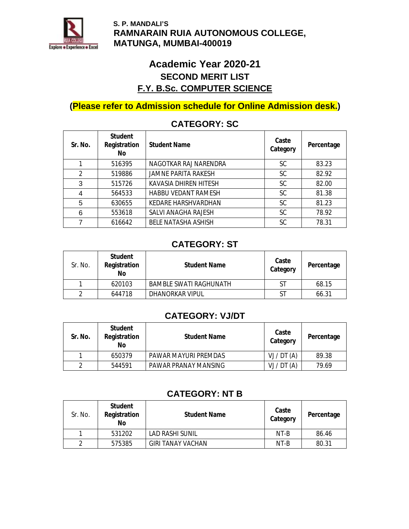

# **Academic Year 2020-21 SECOND MERIT LIST F.Y. B.Sc. COMPUTER SCIENCE**

## **(Please refer to Admission schedule for Online Admission desk.)**

| Sr. No.        | Student<br>Registration<br>No | <b>Student Name</b>          | Caste<br>Category | Percentage |
|----------------|-------------------------------|------------------------------|-------------------|------------|
|                | 516395                        | NAGOTKAR RAJ NARENDRA        | SC                | 83.23      |
| $\overline{2}$ | 519886                        | <b>JAMNE PARITA RAKESH</b>   | <b>SC</b>         | 82.92      |
| 3              | 515726                        | <b>KAVASIA DHIREN HITESH</b> | <b>SC</b>         | 82.00      |
| 4              | 564533                        | <b>HABBU VEDANT RAMESH</b>   | <b>SC</b>         | 81.38      |
| 5              | 630655                        | <b>KEDARE HARSHVARDHAN</b>   | <b>SC</b>         | 81.23      |
| 6              | 553618                        | <b>SALVI ANAGHA RAJESH</b>   | <b>SC</b>         | 78.92      |
| 7              | 616642                        | <b>BELE NATASHA ASHISH</b>   | <b>SC</b>         | 78.31      |

### **CATEGORY: SC**

#### **CATEGORY: ST**

| Sr. No. | Student<br>Registration<br>No | <b>Student Name</b>           | Caste<br>Category | Percentage |
|---------|-------------------------------|-------------------------------|-------------------|------------|
|         | 620103                        | <b>BAMBLE SWATI RAGHUNATH</b> | ST                | 68.15      |
| າ       | 644718                        | <b>DHANORKAR VIPUL</b>        | <b>ST</b>         | 66.31      |

### **CATEGORY: VJ/DT**

| Sr. No. | Student<br>Registration<br>No | <b>Student Name</b>  | Caste<br>Category | Percentage |
|---------|-------------------------------|----------------------|-------------------|------------|
|         | 650379                        | PAWAR MAYURI PREMDAS | VJ / DT(A)        | 89.38      |
| 2       | 544591                        | PAWAR PRANAY MANSING | VJ / DT(A)        | 79.69      |

## **CATEGORY: NT B**

| Sr. No. | <b>Student</b><br>Registration<br>No | <b>Student Name</b>      | Caste<br>Category | Percentage |
|---------|--------------------------------------|--------------------------|-------------------|------------|
|         | 531202                               | LAD RASHI SUNIL          | NT-B              | 86.46      |
| 2       | 575385                               | <b>GIRI TANAY VACHAN</b> | NT-B              | 80.31      |